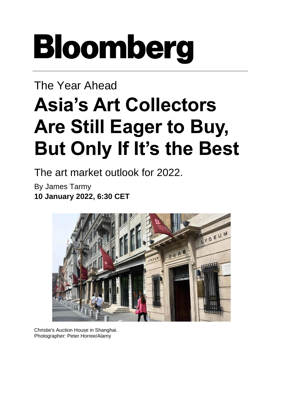## **Bloomberg**

## The Year Ahead **Asia's Art Collectors Are Still Eager to Buy, But Only If It's the Best**

The art market outlook for 2022.

By [James Tarmy](https://www.bloomberg.com/authors/AQhQ-CzW5WM/james-tarmy) **10 January 2022, 6:30 CET**



Christie's Auction House in Shanghai. Photographer: Peter Horree/Alamy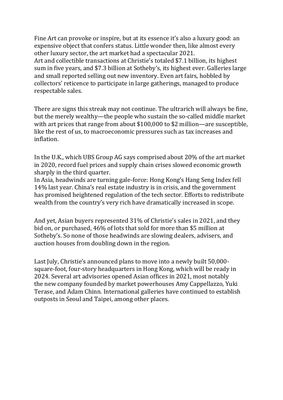Fine Art can provoke or inspire, but at its essence it's also a luxury good: an expensive object that confers status. Little wonder then, like almost every other luxury sector, the art market had a [spectacular](https://www.bloomberg.com/news/articles/2021-12-16/luxury-brands-are-keeping-their-pandemic-playbooks-and-expanding-into-e-commerce) 2021. Art and collectible transactions at [Christie's](https://www.christies.com/) totaled \$7.1 billion, its highest sum in five years, and \$7.3 billion at [Sotheby's](https://www.sothebys.com/en/), its highest ever. Galleries large and small reported selling out new inventory. Even art fairs, hobbled by collectors' reticence to participate in large gatherings, managed to [produce](https://www.bloomberg.com/news/articles/2021-12-06/art-basel-miami-beach-2021-winners-and-losers-trends-to-watch)

[respectable](https://www.bloomberg.com/news/articles/2021-12-06/art-basel-miami-beach-2021-winners-and-losers-trends-to-watch) sales.

There are signs this streak may not continue. The ultrarich will always be fine, but the merely wealthy—the people who sustain the so-called middle market with art prices that range from about \$100,000 to \$2 million—are susceptible, like the rest of us, to macroeconomic pressures such as tax increases and inflation.

In the U.K., which UBS Group AG [says](https://artbasel.com/stories/art-market-report-2021) comprised about 20% of the art market in 2020, record fuel prices and supply chain crises slowed economic growth sharply in the third quarter.

In Asia, headwinds are turning gale-force: Hong Kong's Hang Seng Index fell 14% last year. China's real estate industry is in [crisis,](https://www.bloomberg.com/news/articles/2022-01-10/deadline-nears-on-bond-repayment-vote-evergrande-update) and the government has [promised](https://www.bloomberg.com/graphics/2021-china-tech-crackdown-one-year) heightened regulation of the tech sector. Efforts to redistribute wealth from the country's very rich have [dramatically](https://www.latimes.com/world-nation/story/2021-09-14/common-prosperity-china-crackdown-analysis) increased in scope.

And yet, Asian buyers represented 31% of Christie's sales in 2021, and they bid on, or purchased, 46% of lots that sold for more than \$5 million at Sotheby's. So none of those headwinds are slowing dealers, advisers, and auction houses from doubling down in the region.

Last July, Christie's announced plans to move into a newly built 50,000 square-foot, four-story headquarters in Hong Kong, which will be ready in 2024. Several art advisories opened Asian offices in 2021, most notably the new [company](https://www.artintelligenceglobal.com/) founded by market powerhouses Amy Cappellazzo, Yuki Terase, and Adam Chinn. International galleries have continued to establish outposts in Seoul and Taipei, among other places.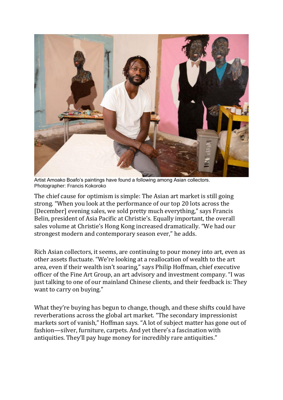

Artist Amoako Boafo's paintings have found a following among Asian collectors. Photographer: Francis Kokoroko

The chief cause for optimism is simple: The Asian art market is still going strong. "When you look at the performance of our top 20 lots across the [December] [evening](https://www.artnews.com/art-news/market/christies-hong-kong-evening-sale-2021-1234611838/) sales, we sold pretty much everything," says Francis Belin, president of Asia Pacific at Christie's. Equally important, the overall sales volume at Christie's Hong Kong increased dramatically. "We had our strongest modern and contemporary season ever," he adds.

Rich Asian collectors, it seems, are continuing to pour money into art, even as other assets fluctuate. "We're looking at a reallocation of wealth to the art area, even if their wealth isn't soaring," says Philip Hoffman, chief executive officer of the Fine Art Group, an art advisory and investment company. "I was just talking to one of our mainland Chinese clients, and their feedback is: They want to carry on buying."

What they're buying has begun to change, though, and these shifts could have reverberations across the global art market. "The secondary impressionist markets sort of vanish," Hoffman says. "A lot of subject matter has gone out of fashion—silver, furniture, carpets. And yet there's a fascination with antiquities. They'll pay huge money for incredibly rare antiquities."